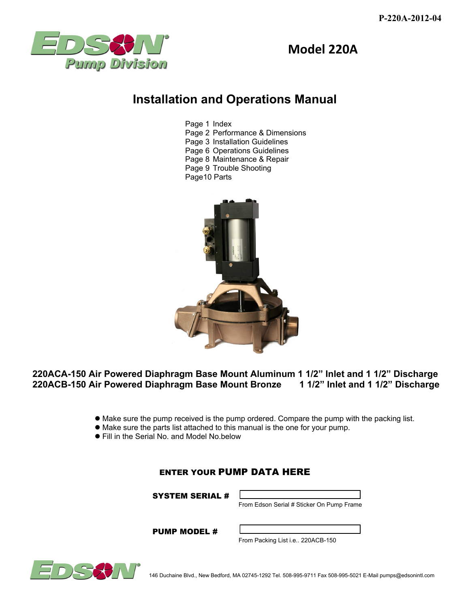



# **Installation and Operations Manual**

 Page 1 Index Page 2 Performance & Dimensions Page 3 Installation Guidelines Page 6 Operations Guidelines Page 8 Maintenance & Repair Page 9 Trouble Shooting Page10 Parts



## **220ACA-150 Air Powered Diaphragm Base Mount Aluminum 1 1/2" Inlet and 1 1/2" Discharge 220ACB-150 Air Powered Diaphragm Base Mount Bronze 1 1/2" Inlet and 1 1/2" Discharge**

- Make sure the pump received is the pump ordered. Compare the pump with the packing list.
- Make sure the parts list attached to this manual is the one for your pump.
- Fill in the Serial No. and Model No.below

## ENTER YOUR PUMP DATA HERE

SYSTEM SERIAL #



From Edson Serial # Sticker On Pump Frame

PUMP MODEL #

From Packing List i.e.. 220ACB-150

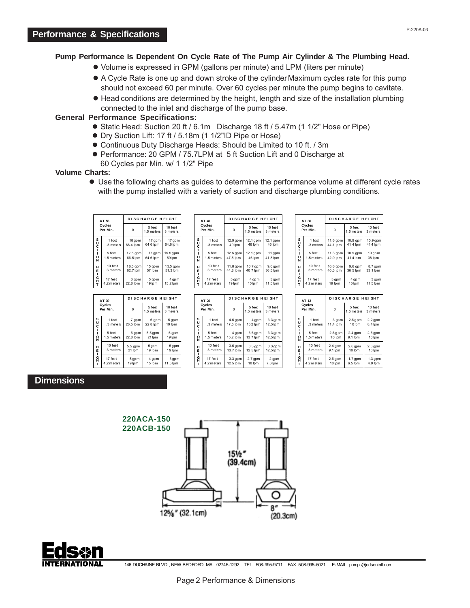### **Pump Performance Is Dependent On Cycle Rate of The Pump Air Cylinder & The Plumbing Head.**

- Volume is expressed in GPM (gallons per minute) and LPM (liters per minute)
- A Cycle Rate is one up and down stroke of the cylinder. Maximum cycles rate for this pump should not exceed 60 per minute. Over 60 cycles per minute the pump begins to cavitate.
- Head conditions are determined by the height, length and size of the installation plumbing connected to the inlet and discharge of the pump base.

### **General Performance Specifications:**

- Static Head: Suction 20 ft / 6.1m Discharge 18 ft / 5.47m (1 1/2" Hose or Pipe)
- Dry Suction Lift: 17 ft / 5.18m (1 1/2"ID Pipe or Hose)
- Continuous Duty Discharge Heads: Should be Limited to 10 ft. / 3m
- Performance: 20 GPM / 75.7LPM at 5 ft Suction Lift and 0 Discharge at 60 Cycles per Min. w/ 1 1/2" Pipe

#### **Volume Charts:**

 Use the following charts as guides to determine the performance volume at different cycle rates with the pump installed with a variety of suction and discharge plumbing conditions.

| AT 56<br>Cycles<br>Per Min. |                        | <b>DISCHARGE HEIGHT</b> |                       |                      |
|-----------------------------|------------------------|-------------------------|-----------------------|----------------------|
|                             |                        | $\Omega$                | 5 feet<br>1.5 meters  | 10 feet<br>3 meters  |
|                             | 1 foot<br>3 meters     | 18 qpm<br>68.4 lpm      | 17 qpm<br>64.6 lpm    | $17$ gpm<br>64.6 lpm |
| SUCT-ON<br><b>HELGHT</b>    | 5 feet<br>1.5 m eters  | 17.5 gpm<br>66.5 lpm    | $17$ qp m<br>64.6 lpm | $15.5$ gpm<br>59 lpm |
|                             | 10 feet<br>3 meters    | 16.5 gpm<br>62.7 lpm    | $15$ gpm<br>57 lpm    | 13.5 gpm<br>51.3 lpm |
|                             | 17 feet<br>4.2 m eters | 6 qpm<br>22.8 lpm       | 5 gp m<br>19 lpm      | 4 qpm<br>15.2 lpm    |

| AT 40<br>Cycles<br>Per Min.          |                        | <b>DISCHARGE HEIGHT</b> |                        |                       |
|--------------------------------------|------------------------|-------------------------|------------------------|-----------------------|
|                                      |                        | n                       | 5 feet<br>1.5 meters   | 10 feet<br>3 meters   |
| SUCTI                                | 1 foot<br>.3 meters    | $12.9$ gpm<br>49 lpm    | 12.1 gpm<br>46 lpm     | 12.1 gpm<br>46 lpm    |
| o<br>Ń<br>H<br>E<br>I<br>G<br>H<br>T | 5 feet<br>1.5 m eters  | $12.5$ gpm<br>47.5 lpm  | $12.1$ gpm<br>46 lpm   | 11 gpm<br>41.8 lpm    |
|                                      | 10 feet<br>3 meters    | $11.8$ gpm<br>44.8 lpm  | $10.7$ gpm<br>40.7 lpm | $9.6$ gpm<br>36.5 lpm |
|                                      | 17 feet<br>4.2 m eters | 5 qpm<br>19 lpm         | 4 gpm<br>15 lpm        | 3 qpm<br>11.5 lpm     |

| AT 30<br>Cycles<br>Per Min.     |                        | <b>DISCHARGE HEIGHT</b> |                      |                     |
|---------------------------------|------------------------|-------------------------|----------------------|---------------------|
|                                 |                        | $\Omega$                | 5 feet<br>1.5 meters | 10 feet<br>3 meters |
| s<br>U<br>c<br>T<br>Ŕ<br>HH-OH- | 1 foot<br>.3 meters    | 7 qpm<br>26.5 lpm       | 6 qpm<br>22.8 lpm    | 5 qp m<br>19 lpm    |
|                                 | 5 feet<br>1.5 m eters  | 6 qpm<br>22.8 lpm       | 5.5 gpm<br>21 lpm    | 5 gpm<br>19 lpm     |
|                                 | 10 feet<br>3 meters    | 5.5 gpm<br>21 lpm       | 5 gpm<br>19 lpm      | 5 gpm<br>19 lpm     |
|                                 | 17 feet<br>4.2 m eters | 5 qpm<br>19 lpm         | 4 qp m<br>15 lpm     | 3 qpm<br>11.5 lpm   |

| AT 20<br>Cycles<br>Per Min.        |                        | <b>DISCHARGE HEIGHT</b> |                       |                       |
|------------------------------------|------------------------|-------------------------|-----------------------|-----------------------|
|                                    |                        | 0                       | 5 feet<br>1.5 meters  | 10 feet<br>3 meters   |
| s<br>U                             | 1 foot<br>.3 meters    | $4.6$ gpm<br>17.5 lpm   | 4 qpm<br>15.2 lpm     | $3.3$ gpm<br>12.5 lpm |
| c<br>T<br>ួ<br>H<br>E<br>ー<br>ロロロエ | 5 feet<br>1.5 m eters  | 4 qpm<br>15.2 lpm       | $3.6$ gpm<br>13.7 lpm | $3.3$ gpm<br>12.5 lpm |
|                                    | 10 feet<br>3 meters    | $3.6$ gpm<br>13.7 lpm   | $3.3$ gpm<br>12.5 lpm | $3.3$ gpm<br>12.5 lpm |
|                                    | 17 feet<br>4.2 m eters | $3.3$ gpm<br>12.5 lpm   | $2.7$ gpm<br>10 lpm   | 2 qpm<br>7.6 lpm      |

| AT 36<br>Cycles<br>Per Min. |             | DISCHARGE HEIGHT |                      |                     |
|-----------------------------|-------------|------------------|----------------------|---------------------|
|                             |             | $\Omega$         | 5 feet<br>1.5 meters | 10 feet<br>3 meters |
| S<br>U<br>T                 | 1 foot      | $11.6$ gpm       | 10.9 gpm             | 10.9 gpm            |
|                             | .3 meters   | 44.1 lpm         | 41.4 lpm             | 41.4 lpm            |
| $\dot{\mathbf{o}}$          | 5 feet      | 11.3 gpm         | 10.9 gpm             | $10$ gp m           |
| N                           | 1.5 m eters | 42.9 lpm         | 41.4 lpm             | 38 lpm              |
| н                           | $10$ feet   | $10.6$ gpm       | $9.6$ gpm            | 8.7 gpm             |
| E                           | 3 meters    | 40.3 lpm         | 36.5 lpm             | 33.1 lpm            |
| G                           | 17 feet     | 5 gpm            | 4 gpm                | 3 qpm               |
| Ť                           | 4.2 m eters | 19 lpm           | 15 lpm               | 11.5 lpm            |

| AT 13<br>Cycles<br>Per Min.                         |                        | DISCHARGE HEIGHT     |                      |                      |
|-----------------------------------------------------|------------------------|----------------------|----------------------|----------------------|
|                                                     |                        | 0                    | 5 feet<br>1.5 meters | 10 feet<br>3 meters  |
| s<br>U<br>c<br>T<br>0<br>N<br>H<br>E<br> <br>유<br>T | 1 foot<br>.3 meters    | 3 gpm<br>11.4 lpm    | $2.6$ gpm<br>10 lpm  | $2.2$ gpm<br>8.4 lpm |
|                                                     | 5 feet<br>1.5 m eters  | $2.6$ gpm<br>10 lpm  | $2.4$ gpm<br>9.1 lpm | $2.6$ gpm<br>10 lpm  |
|                                                     | $10$ feet<br>3 meters  | $2.4$ gpm<br>9.1 lpm | $2.6$ gpm<br>10 lpm  | $2.6$ gpm<br>10 lpm  |
|                                                     | 17 feet<br>4.2 m eters | $2.6$ gpm<br>10 lpm  | $1.7$ gpm<br>6.5 lpm | $1.3$ gpm<br>4.9 lpm |

## **Dimensions**





146 DUCHAINE BLVD., NEW BEDFORD, MA. 02745-1292 TEL. 508-995-9711 FAX 508-995-5021 E-MAIL pumps@edsonintl.com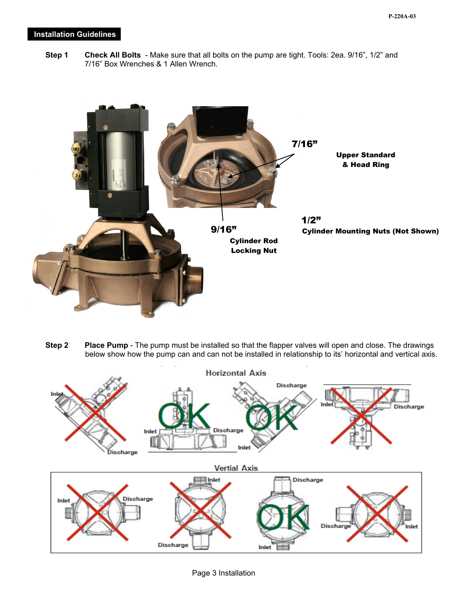## **Installation Guidelines**

 **Step 1 Check All Bolts** - Make sure that all bolts on the pump are tight. Tools: 2ea. 9/16", 1/2" and 7/16" Box Wrenches & 1 Allen Wrench.



**Step 2** Place Pump - The pump must be installed so that the flapper valves will open and close. The drawings below show how the pump can and can not be installed in relationship to its' horizontal and vertical axis.



Page 3 Installation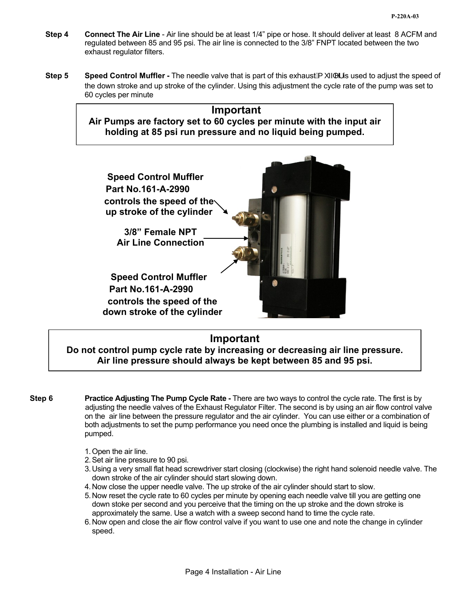- **Step 4 Connect The Air Line**  Air line should be at least 1/4" pipe or hose. It should deliver at least 8 ACFM and regulated between 85 and 95 psi. The air line is connected to the 3/8" FNPT located between the two exhaust regulator filters.
- **Step 5 Speed Control Muffler** The needle valve that is part of this exhaust $\AA^{\prime} \rightarrow \A^{\prime}$  is used to adjust the speed of the down stroke and up stroke of the cylinder. Using this adjustment the cycle rate of the pump was set to 60 cycles per minute

## **Important Air Pumps are factory set to 60 cycles per minute with the input air holding at 85 psi run pressure and no liquid being pumped.**



## **Important**

**Do not control pump cycle rate by increasing or decreasing air line pressure. Air line pressure should always be kept between 85 and 95 psi.** 

**Step 6** Practice Adjusting The Pump Cycle Rate - There are two ways to control the cycle rate. The first is by adjusting the needle valves of the Exhaust Regulator Filter. The second is by using an air flow control valve on the air line between the pressure regulator and the air cylinder. You can use either or a combination of both adjustments to set the pump performance you need once the plumbing is installed and liquid is being pumped.

- 1. Open the air line.
- 2. Set air line pressure to 90 psi.
- 3. Using a very small flat head screwdriver start closing (clockwise) the right hand solenoid needle valve. The down stroke of the air cylinder should start slowing down.
- 4. Now close the upper needle valve. The up stroke of the air cylinder should start to slow.
- 5. Now reset the cycle rate to 60 cycles per minute by opening each needle valve till you are getting one down stoke per second and you perceive that the timing on the up stroke and the down stroke is approximately the same. Use a watch with a sweep second hand to time the cycle rate.
- 6. Now open and close the air flow control valve if you want to use one and note the change in cylinder speed.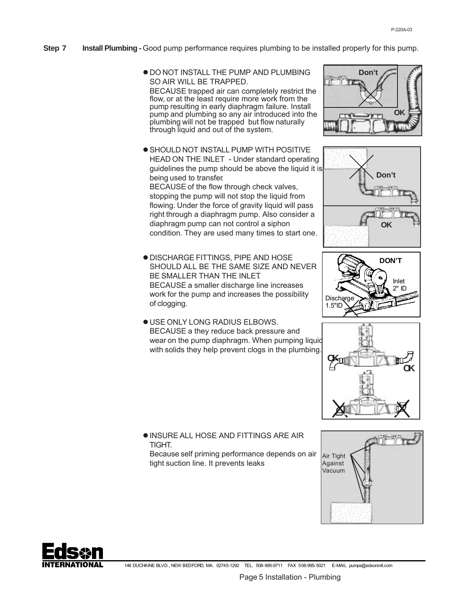- **Step 7 Install Plumbing -** Good pump performance requires plumbing to be installed properly for this pump.
	- $\bullet$  DO NOT INSTALL THE PUMP AND PLUMBING SO AIR WILL BE TRAPPED. BECAUSE trapped air can completely restrict the flow, or at the least require more work from the pump resulting in early diaphragm failure. Install pump and plumbing so any air introduced into the plumbing will not be trapped but flow naturally through liquid and out of the system.
	- **.** SHOULD NOT INSTALL PUMP WITH POSITIVE HEAD ON THE INLET - Under standard operating guidelines the pump should be above the liquid it is being used to transfer. BECAUSE of the flow through check valves, stopping the pump will not stop the liquid from flowing. Under the force of gravity liquid will pass right through a diaphragm pump. Also consider a diaphragm pump can not control a siphon condition. They are used many times to start one.
	- DISCHARGE FITTINGS, PIPE AND HOSE SHOULD ALL BE THE SAME SIZE AND NEVER BE SMALLER THAN THE INLET. BECAUSE a smaller discharge line increases work for the pump and increases the possibility of clogging.
	- USE ONLY LONG RADIUS ELBOWS. BECAUSE a they reduce back pressure and wear on the pump diaphragm. When pumping liquid with solids they help prevent clogs in the plumbing.









- **. INSURE ALL HOSE AND FITTINGS ARE AIR TIGHT** 
	- Because self priming performance depends on air tight suction line. It prevents leaks



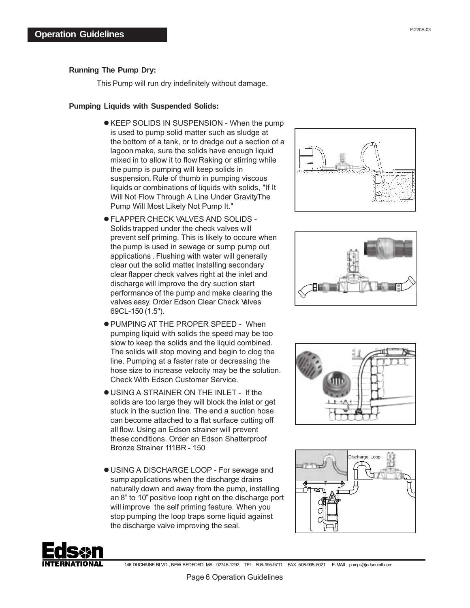## **Running The Pump Dry:**

This Pump will run dry indefinitely without damage.

### **Pumping Liquids with Suspended Solids:**

- KEEP SOLIDS IN SUSPENSION When the pump is used to pump solid matter such as sludge at the bottom of a tank, or to dredge out a section of a lagoon make, sure the solids have enough liquid mixed in to allow it to flow Raking or stirring while the pump is pumping will keep solids in suspension. Rule of thumb in pumping viscous liquids or combinations of liquids with solids, "If It Will Not Flow Through A Line Under Gravity The Pump Will Most Likely Not Pump It."
- FLAPPER CHECK VALVES AND SOLIDS Solids trapped under the check valves will prevent self priming. This is likely to occure when the pump is used in sewage or sump pump out applications . Flushing with water will generally clear out the solid matter Installing secondary clear flapper check valves right at the inlet and discharge will improve the dry suction start performance of the pump and make clearing the valves easy. Order Edson Clear Check Valves 69CL-150 (1.5").
- PUMPING AT THE PROPER SPEED When pumping liquid with solids the speed may be too slow to keep the solids and the liquid combined. The solids will stop moving and begin to clog the line. Pumping at a faster rate or decreasing the hose size to increase velocity may be the solution. Check With Edson Customer Service.
- USING A STRAINER ON THE INLET If the solids are too large they will block the inlet or get stuck in the suction line. The end a suction hose can become attached to a flat surface cutting off all flow. Using an Edson strainer will prevent these conditions. Order an Edson Shatterproof Bronze Strainer 111BR - 150
- USING A DISCHARGE LOOP For sewage and sump applications when the discharge drains naturally down and away from the pump, installing an 8" to 10" positive loop right on the discharge port will improve the self priming feature. When you stop pumping the loop traps some liquid against the discharge valve improving the seal.









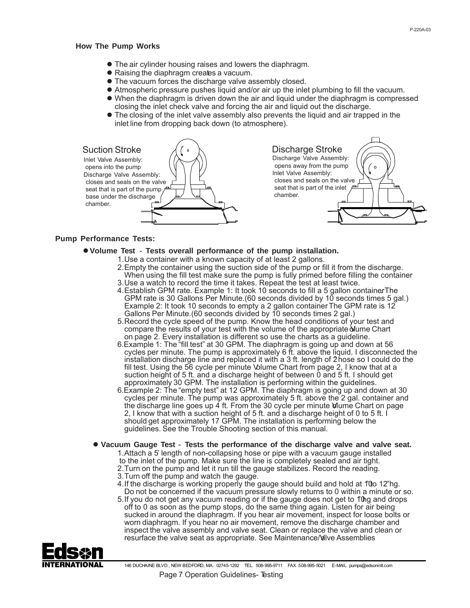#### **How The Pump Works**

- The air cylinder housing raises and lowers the diaphragm.
- Raising the diaphragm creates a vacuum.
- The vacuum forces the discharge valve assembly closed.
- Atmospheric pressure pushes liquid and/or air up the inlet plumbing to fill the vacuum.
- When the diaphragm is driven down the air and liquid under the diaphragm is compressed closing the inlet check valve and forcing the air and liquid out the discharge.
- The closing of the inlet valve assembly also prevents the liquid and air trapped in the inlet line from dropping back down (to atmosphere).

| <b>Suction Stroke</b>                                                                 | <b>Discharge Stroke</b>                                         |
|---------------------------------------------------------------------------------------|-----------------------------------------------------------------|
| Inlet Valve Assembly:                                                                 | Discharge Valve Assembly:                                       |
| opens into the pump<br>Discharge Valve Assembly:                                      | opens away from the pump<br>Inlet Valve Assembly:               |
| closes and seals on the valve<br>seat that is part of the pump $\mathbb{P}^{\square}$ | closes and seals on the valve<br>seat that is part of the inlet |
| base under the discharge                                                              | chamber.                                                        |
| chamber.                                                                              |                                                                 |
|                                                                                       |                                                                 |

#### **Pump Performance Tests:**

- **Volume Test** - **Tests overall performance of the pump installation.**
	- 1. Use a container with a known capacity of at least 2 gallons.
		- 2.Empty the container using the suction side of the pump or fill it from the discharge. When using the fill test make sure the pump is fully primed before filling the container. 3.Use a watch to record the time it takes. Repeat the test at least twice.
		- 4.Establish GPM rate. Example 1: It took 10 seconds to fill a 5 gallon containerThe GPM rate is 30 Gallons Per Minute.(60 seconds divided by 10 seconds times 5 gal.) Example 2: It took 10 seconds to empty a 2 gallon container. The GPM rate is 12 Gallons Per Minute.(60 seconds divided by 10 seconds times 2 gal.)
		- 5.Record the cycle speed of the pump. Know the head conditions of your test and compare the results of your test with the volume of the appropriate of lume Chart on page 2. Every installation is different so use the charts as a guideline.
		- 6.Example 1: The "fill test" at 30 GPM. The diaphragm is going up and down at 56 cycles per minute. The pump is approximately 6 ft. above the liquid. I disconnected the installation discharge line and replaced it with a 3 ft. length of 2 hose so I could do the fill test. Using the 56 cycle per minute Volume Chart from page 2, I know that at a suction height of 5 ft. and a discharge height of between 0 and 5 ft. I should get approximately 30 GPM. The installation is performing within the guidelines.
		- 6.Example 2: The "empty test" at 12 GPM. The diaphragm is going up and down at 30 cycles per minute. The pump was approximately 5 ft. above the 2 gal. container and the discharge line goes up  $4$  ft. From the 30 cycle per minute Vulume Chart on page 2, I know that with a suction height of 5 ft. and a discharge height of 0 to 5 ft. I should get approximately 17 GPM. The installation is performing below the guidelines. See the Trouble Shooting section of this manual.
	- **Vacuum Gauge Test Tests the performance of the discharge valve and valve seat.** 1.Attach a 5' length of non-collapsing hose or pipe with a vacuum gauge installed to the inlet of the pump. Make sure the line is completely sealed and air tight. 2.Turn on the pump and let it run till the gauge stabilizes. Record the reading. 3.Turn off the pump and watch the gauge.
		- 4. If the discharge is working properly the gauge should build and hold at 1'0 12"hg. Do not be concerned if the vacuum pressure slowly returns to 0 within a minute or so.
		- 5. If you do not get any vacuum reading or if the gauge does not get to 1'0 g and drops off to 0 as soon as the pump stops, do the same thing again. Listen for air being sucked in around the diaphragm. If you hear air movement, inspect for loose bolts or worn diaphragm. If you hear no air movement, remove the discharge chamber and inspect the valve assembly and valve seat. Clean or replace the valve and clean or resurface the valve seat as appropriate. See Maintenance/Valve Assemblies

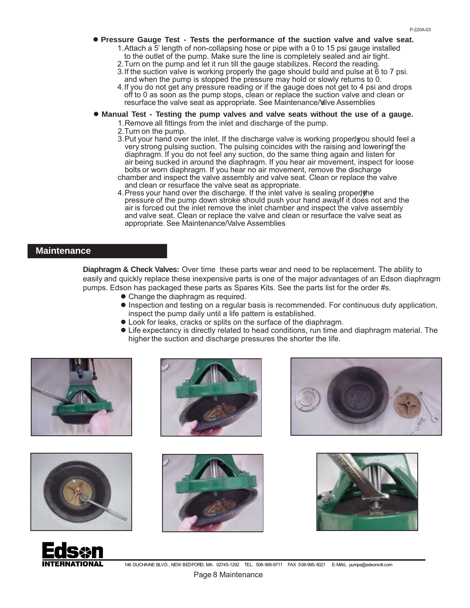- **Pressure Gauge Test Tests the performance of the suction valve and valve seat.**
	- 1.Attach a 5' length of non-collapsing hose or pipe with a 0 to 15 psi gauge installed to the outlet of the pump. Make sure the line is completely sealed and air tight.
	- 2.Turn on the pump and let it run till the gauge stabilizes. Record the reading.
	- 3.If the suction valve is working properly the gage should build and pulse at 6 to 7 psi. and when the pump is stopped the pressure may hold or slowly returns to 0.
	- 4.If you do not get any pressure reading or if the gauge does not get to 4 psi and drops off to 0 as soon as the pump stops, clean or replace the suction valve and clean or resurface the valve seat as appropriate. See Maintenance/Valve Assemblies
- **Manual Test Testing the pump valves and valve seats without the use of a gauge.**
	- 1.Remove all fittings from the inlet and discharge of the pump.
	- 2.Turn on the pump.
	- 3. Put your hand over the inlet. If the discharge valve is working properly you should feel a very strong pulsing suction. The pulsing coincides with the raising and lowering fthe diaphragm. If you do not feel any suction, do the same thing again and listen for air being sucked in around the diaphragm. If you hear air movement, inspect for loose bolts or worn diaphragm. If you hear no air movement, remove the discharge
	- chamber and inspect the valve assembly and valve seat. Clean or replace the valve and clean or resurface the valve seat as appropriate.
	- 4. Press your hand over the discharge. If the inlet valve is sealing properly he pressure of the pump down stroke should push your hand away! It does not and the air is forced out the inlet remove the inlet chamber and inspect the valve assembly and valve seat. Clean or replace the valve and clean or resurface the valve seat as appropriate. See Maintenance/Valve Assemblies

## **Maintenance**

**Diaphragm & Check Valves:** Over time these parts wear and need to be replacement. The ability to easily and quickly replace these inexpensive parts is one of the major advantages of an Edson diaphragm pumps. Edson has packaged these parts as Spares Kits. See the parts list for the order #s.

- Change the diaphragm as required.
- $\bullet$  Inspection and testing on a regular basis is recommended. For continuous duty application, inspect the pump daily until a life pattern is established.
- Look for leaks, cracks or splits on the surface of the diaphragm.
- Life expectancy is directly related to head conditions, run time and diaphragm material. The higher the suction and discharge pressures the shorter the life.













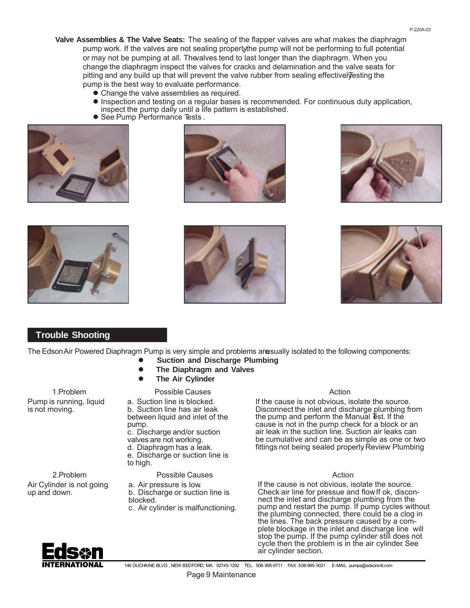- **Valve Assemblies & The Valve Seats:** The sealing of the flapper valves are what makes the diaphragm pump work. If the valves are not sealing properly the pump will not be performing to full potential or may not be pumping at all. The valves tend to last longer than the diaphragm. When you change the diaphragm inspect the valves for cracks and delamination and the valve seats for pitting and any build up that will prevent the valve rubber from sealing effectivel vesting the pump is the best way to evaluate performance. P-220A-03
	- Change the valve assemblies as required.
	- $\bullet$  Inspection and testing on a regular bases is recommended. For continuous duty application, inspect the pump daily until a life pattern is established. See Pump Performance Tests .
	-













 **Trouble Shooting**

The Edson Air Powered Diaphragm Pump is very simple and problems are usually isolated to the following components:

- $\bullet$  **Suction and Discharge Plumbing**
	- $\bullet$ **The Diaphragm and Valves**
	- Possible Causes  $\bullet$ **The Air Cylinder**

1.Problem Pump is running, liquid is not moving.

2.Problem Air Cylinder is not going

up and down.

a. Suction line is blocked. b. Suction line has air leak between liquid and inlet of the pump.

c. Discharge and/or suction valves are not working.

d. Diaphragm has a leak.

e. Discharge or suction line is to high.

- Possible Causes
- a. Air pressure is low. b. Discharge or suction line is blocked.
- c. Air cylinder is malfunctioning.

### Action

If the cause is not obvious, isolate the source. Disconnect the inlet and discharge plumbing from the pump and perform the Manual *Test*. If the cause is not in the pump check for a block or an air leak in the suction line. Suction air leaks can be cumulative and can be as simple as one or two fittings not being sealed properly Review Plumbing

### Action

If the cause is not obvious, isolate the source. Check air line for pressue and flow If ok, disconnect the inlet and discharge plumbing from the pump and restart the pump. If pump cycles without the plumbing connected, there could be a clog in the lines. The back pressure caused by a complete blockage in the inlet and discharge line will stop the pump. If the pump cylinder still does not cycle then the problem is in the air cylinder. See air cylinder section.



146 DUCHAINE BLVD., NEW BEDFORD, MA. 02745-1292 TEL. 508-995-9711 FAX 508-995-5021 E-MAIL pumps@edsonintl.com Page 9 Maintenance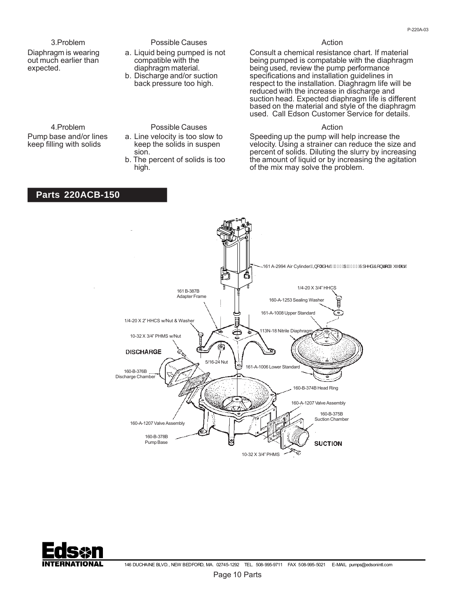3.Problem Diaphragm is wearing out much earlier than expected.

#### Possible Causes

- a. Liquid being pumped is not compatible with the diaphragm material.
- b. Discharge and/or suction back pressure too high.

#### Action

Consult a chemical resistance chart. If material being pumped is compatable with the diaphragm being used, review the pump performance specifications and installation guidelines in respect to the installation. Diaghragm life will be reduced with the increase in discharge and suction head. Expected diaphragm life is different based on the material and style of the diaphragm used. Call Edson Customer Service for details.

#### Action

Speeding up the pump will help increase the velocity. Using a strainer can reduce the size and percent of solids. Diluting the slurry by increasing the amount of liquid or by increasing the agitation of the mix may solve the problem.





## 4.Problem

Pump base and/or lines keep filling with solids

Possible Causes a. Line velocity is too slow to

- keep the solids in suspen sion.
- b. The percent of solids is too high.

### **Parts 220ACB-150**